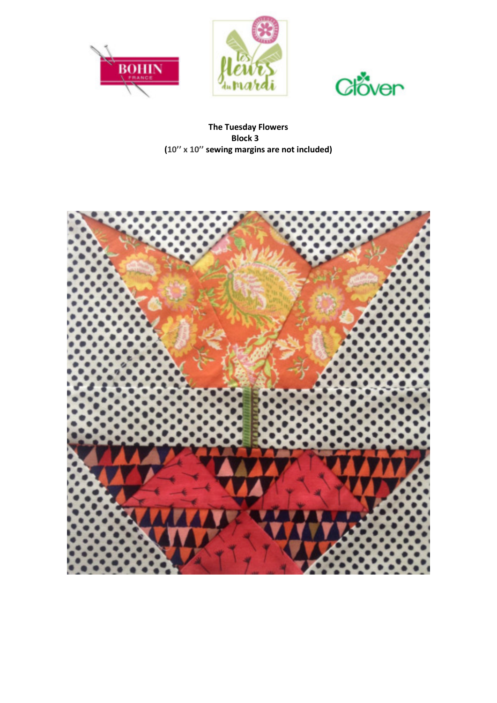





**The Tuesday Flowers Block 3 (10'' x 10'' sewing margins are not included)** 

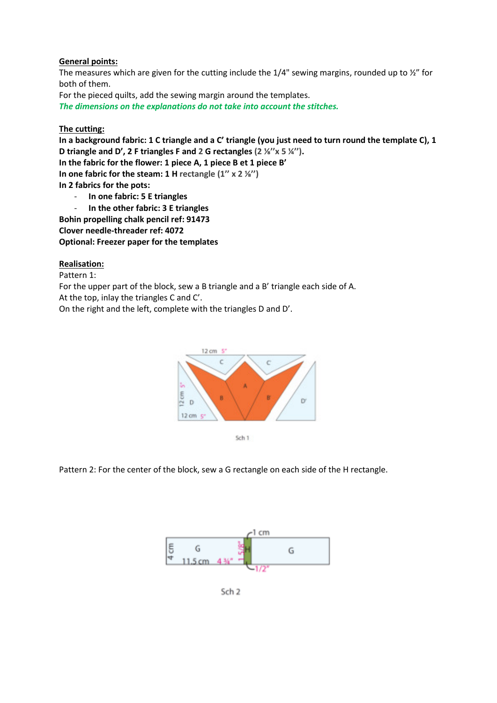## **General points:**

The measures which are given for the cutting include the  $1/4$ " sewing margins, rounded up to  $\frac{1}{2}$ " for both of them.

For the pieced quilts, add the sewing margin around the templates.

*The dimensions on the explanations do not take into account the stitches.*

## **The cutting:**

**In a background fabric: 1 C triangle and a C' triangle (you just need to turn round the template C), 1 D triangle and D', 2 F triangles F and 2 G rectangles (2 ⅛''x 5 ¼''). In the fabric for the flower: 1 piece A, 1 piece B et 1 piece B' In one fabric for the steam: 1 H rectangle (1'' x 2 ⅛'') In 2 fabrics for the pots:**  - **In one fabric: 5 E triangles** 

- **In the other fabric: 3 E triangles**
- **Bohin propelling chalk pencil ref: 91473**

**Clover needle-threader ref: 4072** 

**Optional: Freezer paper for the templates** 

## **Realisation:**

Pattern 1:

For the upper part of the block, sew a B triangle and a B' triangle each side of A. At the top, inlay the triangles C and C'.

On the right and the left, complete with the triangles D and D'.



Sch 1

Pattern 2: For the center of the block, sew a G rectangle on each side of the H rectangle.



Sch<sub>2</sub>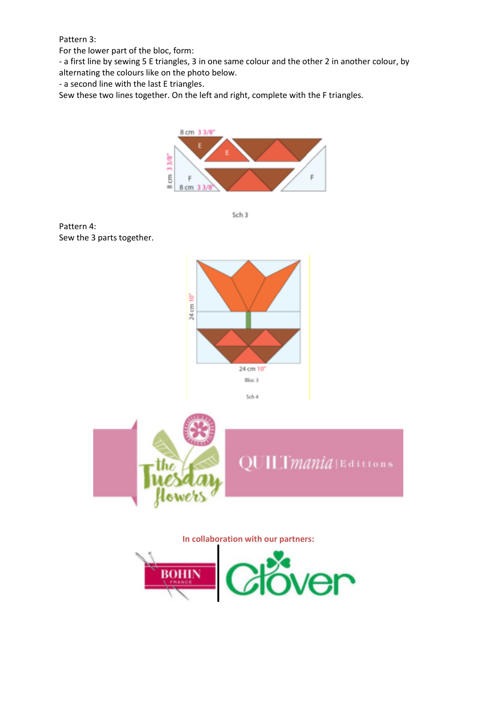Pattern 3:

For the lower part of the bloc, form:

- a first line by sewing 5 E triangles, 3 in one same colour and the other 2 in another colour, by

alternating the colours like on the photo below.

- a second line with the last E triangles.

Sew these two lines together. On the left and right, complete with the F triangles.



Sch 3

Pattern 4: Sew the 3 parts together.





**In collaboration with our partners:**